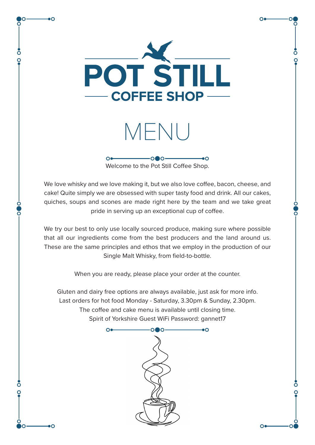

റ

 $\bullet$ C

 $\bullet$ C

MENU

 $\overline{\mathbf{O}}$  $\overline{O}$   $\overline{O}$  $\bullet$ Welcome to the Pot Still Coffee Shop.

We love whisky and we love making it, but we also love coffee, bacon, cheese, and cake! Quite simply we are obsessed with super tasty food and drink. All our cakes, quiches, soups and scones are made right here by the team and we take great pride in serving up an exceptional cup of coffee.

We try our best to only use locally sourced produce, making sure where possible that all our ingredients come from the best producers and the land around us. These are the same principles and ethos that we employ in the production of our Single Malt Whisky, from field-to-bottle.

When you are ready, please place your order at the counter.

Gluten and dairy free options are always available, just ask for more info. Last orders for hot food Monday - Saturday, 3.30pm & Sunday, 2.30pm. The coffee and cake menu is available until closing time. Spirit of Yorkshire Guest WiFi Password: gannet17



 $\Omega$ 

 $\overline{O}$ 

Ŏ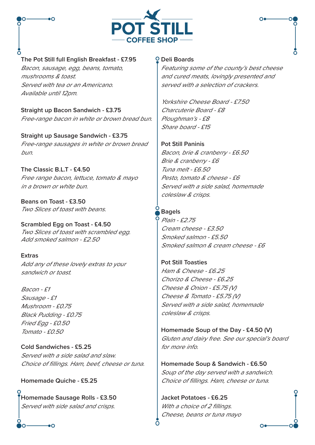



**The Pot Still full English Breakfast - £7.95**

Bacon, sausage, egg, beans, tomato, mushrooms & toast. Served with tea or an Americano. Available until 12pm.

**Straight up Bacon Sandwich - £3.75** Free-range bacon in white or brown bread bun.

**Straight up Sausage Sandwich - £3.75** Free-range sausages in white or brown bread bun.

**The Classic B.L.T - £4.50** Free range bacon, lettuce, tomato & mayo in a brown or white bun.

**Beans on Toast - £3.50** Two Slices of toast with beans.

**Scrambled Egg on Toast - £4.50** Two Slices of toast with scrambled egg. Add smoked salmon - £2.50

**Extras** Add any of these lovely extras to your sandwich or toast.

Bacon - £1 Sausage - £1 Mushroom - £0.75 Black Pudding - £0.75 Fried Egg - £0.50 Tomato - £0.50

**Cold Sandwiches - £5.25** Served with a side salad and slaw. Choice of fillings. Ham, beef, cheese or tuna.

# **Homemade Quiche - £5.25**

 $\bullet$ 

**Homemade Sausage Rolls - £3.50** Served with side salad and crisps.

### **Deli Boards**

Featuring some of the county's best cheese and cured meats, lovingly presented and served with a selection of crackers.

∩∎

 $\overline{O}$ 

Yorkshire Cheese Board - £7.50 Charcuterie Board - £8 Ploughman's - £8 Share board - £15

**Pot Still Paninis** Bacon, brie & cranberry - £6.50 Brie & cranberry - £6 Tuna melt - £6.50 Pesto, tomato & cheese - £6 Served with a side salad, homemade coleslaw & crisps.

# **Bagels**

Plain - £2.75 Cream cheese - £3.50 Smoked salmon - £5.50 Smoked salmon & cream cheese - £6

**Pot Still Toasties** Ham & Cheese - £6.25 Chorizo & Cheese - £6.25 Cheese & Onion - £5.75 (V) Cheese & Tomato - £5.75 (V) Served with a side salad, homemade coleslaw & crisps.

**Homemade Soup of the Day - £4.50 (V)** Gluten and dairy free. See our special's board for more info.

0e

**Homemade Soup & Sandwich - £6.50** Soup of the day served with a sandwich. Choice of fillings. Ham, cheese or tuna.

**Jacket Potatoes - £6.25** With a choice of 2 fillings. Cheese, beans or tuna mayo